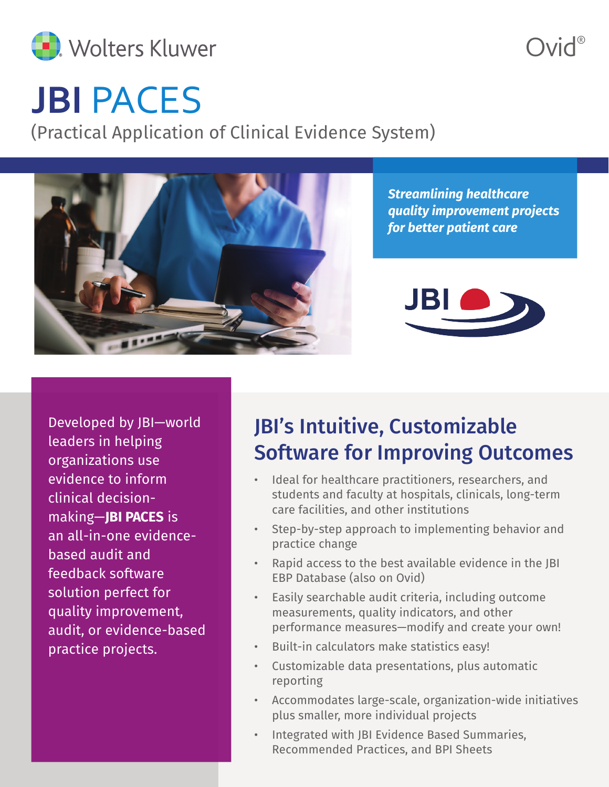

 $N$ id®

# **JBI** PACES

(Practical Application of Clinical Evidence System)



*Streamlining healthcare quality improvement projects for better patient care*



Developed by JBI—world leaders in helping organizations use evidence to inform clinical decisionmaking—**JBI PACES** is an all-in-one evidencebased audit and feedback software solution perfect for quality improvement, audit, or evidence-based practice projects.

### JBI's Intuitive, Customizable Software for Improving Outcomes

- Ideal for healthcare practitioners, researchers, and students and faculty at hospitals, clinicals, long-term care facilities, and other institutions
- Step-by-step approach to implementing behavior and practice change
- Rapid access to the best available evidence in the JBI EBP Database (also on Ovid)
- Easily searchable audit criteria, including outcome measurements, quality indicators, and other performance measures—modify and create your own!
- Built-in calculators make statistics easy!
- Customizable data presentations, plus automatic reporting
- Accommodates large-scale, organization-wide initiatives plus smaller, more individual projects
- Integrated with JBI Evidence Based Summaries, Recommended Practices, and BPI Sheets